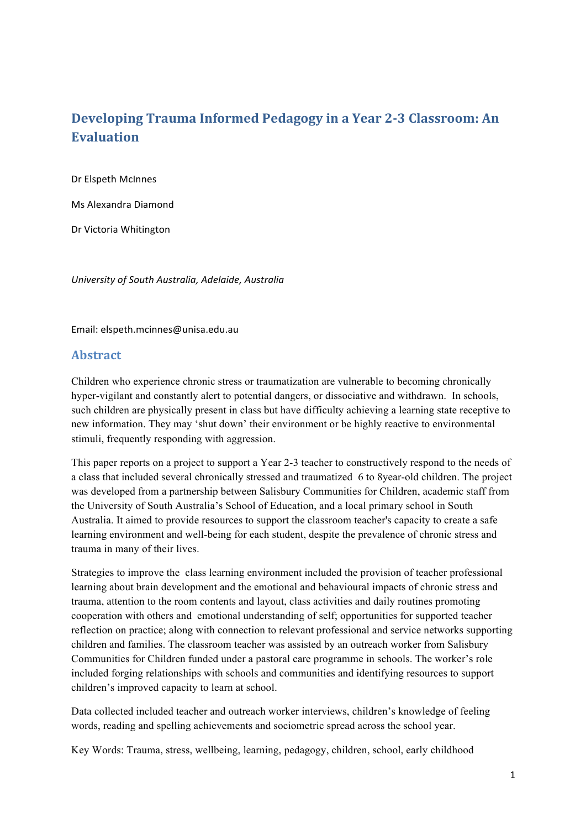# **Developing Trauma Informed Pedagogy in a Year 2-3 Classroom: An Evaluation**

Dr Elspeth McInnes

Ms Alexandra Diamond

Dr Victoria Whitington

*University of South Australia, Adelaide, Australia* 

Email: elspeth.mcinnes@unisa.edu.au

# **Abstract**

Children who experience chronic stress or traumatization are vulnerable to becoming chronically hyper-vigilant and constantly alert to potential dangers, or dissociative and withdrawn. In schools, such children are physically present in class but have difficulty achieving a learning state receptive to new information. They may 'shut down' their environment or be highly reactive to environmental stimuli, frequently responding with aggression.

This paper reports on a project to support a Year 2-3 teacher to constructively respond to the needs of a class that included several chronically stressed and traumatized 6 to 8year-old children. The project was developed from a partnership between Salisbury Communities for Children, academic staff from the University of South Australia's School of Education, and a local primary school in South Australia. It aimed to provide resources to support the classroom teacher's capacity to create a safe learning environment and well-being for each student, despite the prevalence of chronic stress and trauma in many of their lives.

Strategies to improve the class learning environment included the provision of teacher professional learning about brain development and the emotional and behavioural impacts of chronic stress and trauma, attention to the room contents and layout, class activities and daily routines promoting cooperation with others and emotional understanding of self; opportunities for supported teacher reflection on practice; along with connection to relevant professional and service networks supporting children and families. The classroom teacher was assisted by an outreach worker from Salisbury Communities for Children funded under a pastoral care programme in schools. The worker's role included forging relationships with schools and communities and identifying resources to support children's improved capacity to learn at school.

Data collected included teacher and outreach worker interviews, children's knowledge of feeling words, reading and spelling achievements and sociometric spread across the school year.

Key Words: Trauma, stress, wellbeing, learning, pedagogy, children, school, early childhood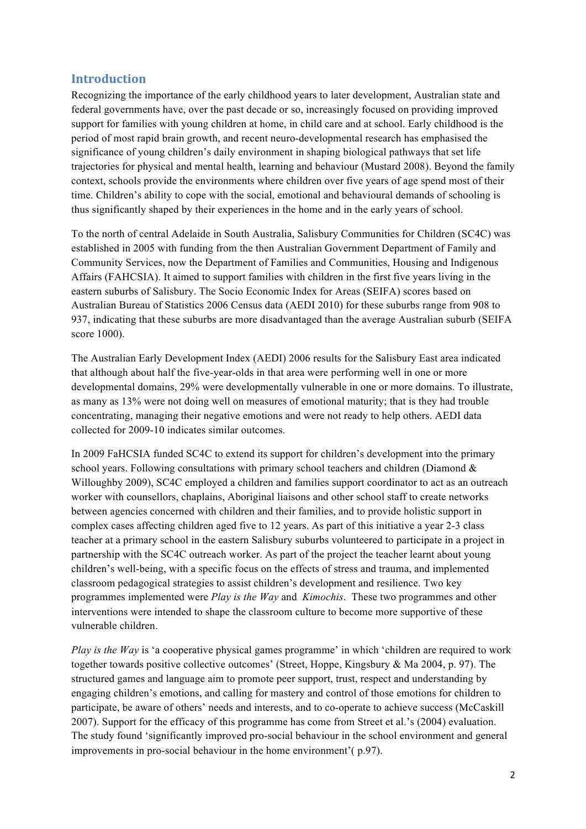# **Introduction**

Recognizing the importance of the early childhood years to later development, Australian state and federal governments have, over the past decade or so, increasingly focused on providing improved support for families with young children at home, in child care and at school. Early childhood is the period of most rapid brain growth, and recent neuro-developmental research has emphasised the significance of young children's daily environment in shaping biological pathways that set life trajectories for physical and mental health, learning and behaviour (Mustard 2008). Beyond the family context, schools provide the environments where children over five years of age spend most of their time. Children's ability to cope with the social, emotional and behavioural demands of schooling is thus significantly shaped by their experiences in the home and in the early years of school.

To the north of central Adelaide in South Australia, Salisbury Communities for Children (SC4C) was established in 2005 with funding from the then Australian Government Department of Family and Community Services, now the Department of Families and Communities, Housing and Indigenous Affairs (FAHCSIA). It aimed to support families with children in the first five years living in the eastern suburbs of Salisbury. The Socio Economic Index for Areas (SEIFA) scores based on Australian Bureau of Statistics 2006 Census data (AEDI 2010) for these suburbs range from 908 to 937, indicating that these suburbs are more disadvantaged than the average Australian suburb (SEIFA score 1000).

The Australian Early Development Index (AEDI) 2006 results for the Salisbury East area indicated that although about half the five-year-olds in that area were performing well in one or more developmental domains, 29% were developmentally vulnerable in one or more domains. To illustrate, as many as 13% were not doing well on measures of emotional maturity; that is they had trouble concentrating, managing their negative emotions and were not ready to help others. AEDI data collected for 2009-10 indicates similar outcomes.

In 2009 FaHCSIA funded SC4C to extend its support for children's development into the primary school years. Following consultations with primary school teachers and children (Diamond & Willoughby 2009), SC4C employed a children and families support coordinator to act as an outreach worker with counsellors, chaplains, Aboriginal liaisons and other school staff to create networks between agencies concerned with children and their families, and to provide holistic support in complex cases affecting children aged five to 12 years. As part of this initiative a year 2-3 class teacher at a primary school in the eastern Salisbury suburbs volunteered to participate in a project in partnership with the SC4C outreach worker. As part of the project the teacher learnt about young children's well-being, with a specific focus on the effects of stress and trauma, and implemented classroom pedagogical strategies to assist children's development and resilience. Two key programmes implemented were *Play is the Way* and *Kimochis*. These two programmes and other interventions were intended to shape the classroom culture to become more supportive of these vulnerable children.

*Play is the Way* is 'a cooperative physical games programme' in which 'children are required to work together towards positive collective outcomes' (Street, Hoppe, Kingsbury & Ma 2004, p. 97). The structured games and language aim to promote peer support, trust, respect and understanding by engaging children's emotions, and calling for mastery and control of those emotions for children to participate, be aware of others' needs and interests, and to co-operate to achieve success (McCaskill 2007). Support for the efficacy of this programme has come from Street et al.'s (2004) evaluation. The study found 'significantly improved pro-social behaviour in the school environment and general improvements in pro-social behaviour in the home environment'( p.97).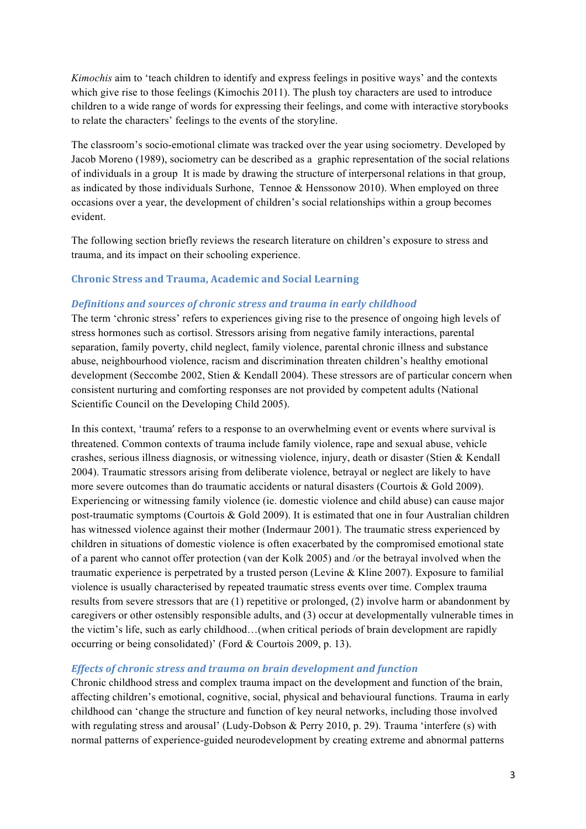*Kimochis* aim to 'teach children to identify and express feelings in positive ways' and the contexts which give rise to those feelings (Kimochis 2011). The plush toy characters are used to introduce children to a wide range of words for expressing their feelings, and come with interactive storybooks to relate the characters' feelings to the events of the storyline.

The classroom's socio-emotional climate was tracked over the year using sociometry. Developed by Jacob Moreno (1989), sociometry can be described as a graphic representation of the social relations of individuals in a group It is made by drawing the structure of interpersonal relations in that group, as indicated by those individuals Surhone, Tennoe & Henssonow 2010). When employed on three occasions over a year, the development of children's social relationships within a group becomes evident.

The following section briefly reviews the research literature on children's exposure to stress and trauma, and its impact on their schooling experience.

## **Chronic Stress and Trauma, Academic and Social Learning**

## **Definitions and sources of chronic stress and trauma in early childhood**

The term 'chronic stress' refers to experiences giving rise to the presence of ongoing high levels of stress hormones such as cortisol. Stressors arising from negative family interactions, parental separation, family poverty, child neglect, family violence, parental chronic illness and substance abuse, neighbourhood violence, racism and discrimination threaten children's healthy emotional development (Seccombe 2002, Stien & Kendall 2004). These stressors are of particular concern when consistent nurturing and comforting responses are not provided by competent adults (National Scientific Council on the Developing Child 2005).

In this context, 'trauma' refers to a response to an overwhelming event or events where survival is threatened. Common contexts of trauma include family violence, rape and sexual abuse, vehicle crashes, serious illness diagnosis, or witnessing violence, injury, death or disaster (Stien & Kendall 2004). Traumatic stressors arising from deliberate violence, betrayal or neglect are likely to have more severe outcomes than do traumatic accidents or natural disasters (Courtois & Gold 2009). Experiencing or witnessing family violence (ie. domestic violence and child abuse) can cause major post-traumatic symptoms (Courtois & Gold 2009). It is estimated that one in four Australian children has witnessed violence against their mother (Indermaur 2001). The traumatic stress experienced by children in situations of domestic violence is often exacerbated by the compromised emotional state of a parent who cannot offer protection (van der Kolk 2005) and /or the betrayal involved when the traumatic experience is perpetrated by a trusted person (Levine  $&$  Kline 2007). Exposure to familial violence is usually characterised by repeated traumatic stress events over time. Complex trauma results from severe stressors that are (1) repetitive or prolonged, (2) involve harm or abandonment by caregivers or other ostensibly responsible adults, and (3) occur at developmentally vulnerable times in the victim's life, such as early childhood…(when critical periods of brain development are rapidly occurring or being consolidated)' (Ford & Courtois 2009, p. 13).

#### *Effects of chronic stress and trauma on brain development and function*

Chronic childhood stress and complex trauma impact on the development and function of the brain, affecting children's emotional, cognitive, social, physical and behavioural functions. Trauma in early childhood can 'change the structure and function of key neural networks, including those involved with regulating stress and arousal' (Ludy-Dobson & Perry 2010, p. 29). Trauma 'interfere (s) with normal patterns of experience-guided neurodevelopment by creating extreme and abnormal patterns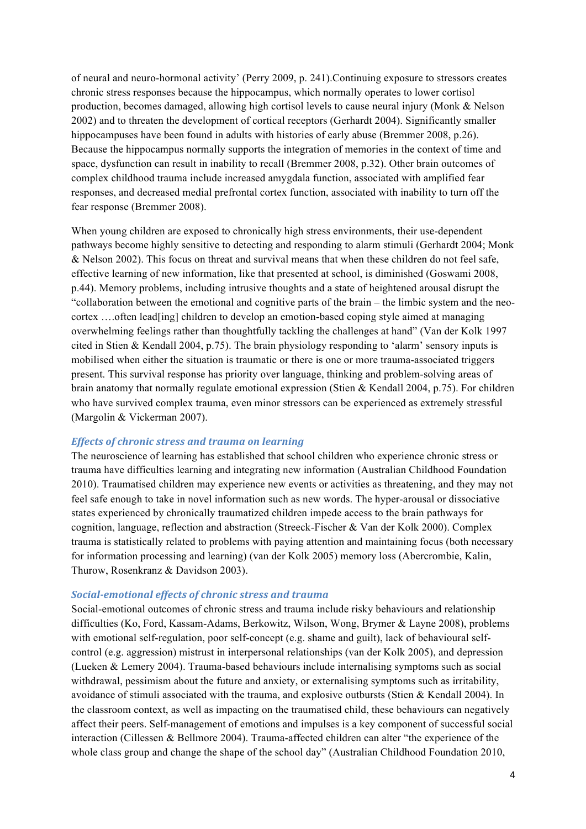of neural and neuro-hormonal activity' (Perry 2009, p. 241).Continuing exposure to stressors creates chronic stress responses because the hippocampus, which normally operates to lower cortisol production, becomes damaged, allowing high cortisol levels to cause neural injury (Monk & Nelson 2002) and to threaten the development of cortical receptors (Gerhardt 2004). Significantly smaller hippocampuses have been found in adults with histories of early abuse (Bremmer 2008, p.26). Because the hippocampus normally supports the integration of memories in the context of time and space, dysfunction can result in inability to recall (Bremmer 2008, p.32). Other brain outcomes of complex childhood trauma include increased amygdala function, associated with amplified fear responses, and decreased medial prefrontal cortex function, associated with inability to turn off the fear response (Bremmer 2008).

When young children are exposed to chronically high stress environments, their use-dependent pathways become highly sensitive to detecting and responding to alarm stimuli (Gerhardt 2004; Monk & Nelson 2002). This focus on threat and survival means that when these children do not feel safe, effective learning of new information, like that presented at school, is diminished (Goswami 2008, p.44). Memory problems, including intrusive thoughts and a state of heightened arousal disrupt the "collaboration between the emotional and cognitive parts of the brain – the limbic system and the neocortex ….often lead[ing] children to develop an emotion-based coping style aimed at managing overwhelming feelings rather than thoughtfully tackling the challenges at hand" (Van der Kolk 1997 cited in Stien & Kendall 2004, p.75). The brain physiology responding to 'alarm' sensory inputs is mobilised when either the situation is traumatic or there is one or more trauma-associated triggers present. This survival response has priority over language, thinking and problem-solving areas of brain anatomy that normally regulate emotional expression (Stien & Kendall 2004, p.75). For children who have survived complex trauma, even minor stressors can be experienced as extremely stressful (Margolin & Vickerman 2007).

#### *Effects of chronic stress and trauma on learning*

The neuroscience of learning has established that school children who experience chronic stress or trauma have difficulties learning and integrating new information (Australian Childhood Foundation 2010). Traumatised children may experience new events or activities as threatening, and they may not feel safe enough to take in novel information such as new words. The hyper-arousal or dissociative states experienced by chronically traumatized children impede access to the brain pathways for cognition, language, reflection and abstraction (Streeck-Fischer & Van der Kolk 2000). Complex trauma is statistically related to problems with paying attention and maintaining focus (both necessary for information processing and learning) (van der Kolk 2005) memory loss (Abercrombie, Kalin, Thurow, Rosenkranz & Davidson 2003).

#### *Social-emotional effects of chronic stress and trauma*

Social-emotional outcomes of chronic stress and trauma include risky behaviours and relationship difficulties (Ko, Ford, Kassam-Adams, Berkowitz, Wilson, Wong, Brymer & Layne 2008), problems with emotional self-regulation, poor self-concept (e.g. shame and guilt), lack of behavioural selfcontrol (e.g. aggression) mistrust in interpersonal relationships (van der Kolk 2005), and depression (Lueken & Lemery 2004). Trauma-based behaviours include internalising symptoms such as social withdrawal, pessimism about the future and anxiety, or externalising symptoms such as irritability, avoidance of stimuli associated with the trauma, and explosive outbursts (Stien & Kendall 2004). In the classroom context, as well as impacting on the traumatised child, these behaviours can negatively affect their peers. Self-management of emotions and impulses is a key component of successful social interaction (Cillessen & Bellmore 2004). Trauma-affected children can alter "the experience of the whole class group and change the shape of the school day" (Australian Childhood Foundation 2010,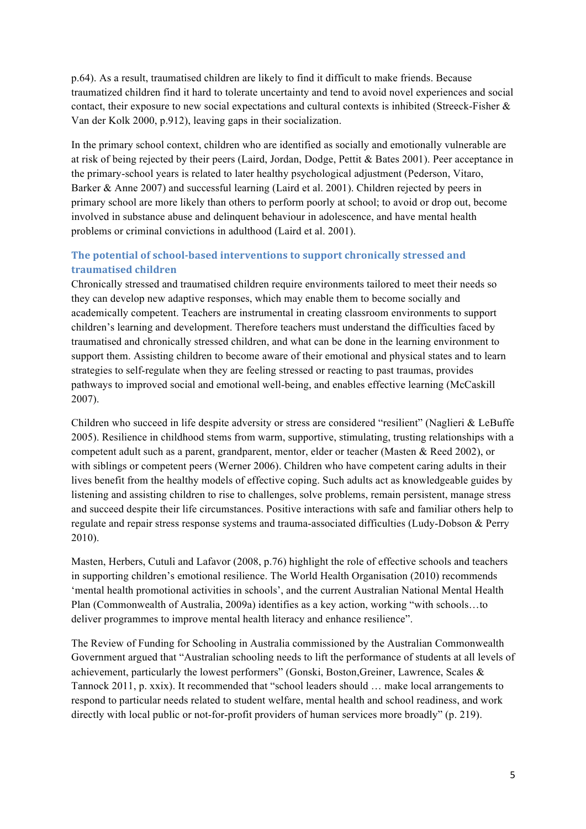p.64). As a result, traumatised children are likely to find it difficult to make friends. Because traumatized children find it hard to tolerate uncertainty and tend to avoid novel experiences and social contact, their exposure to new social expectations and cultural contexts is inhibited (Streeck-Fisher & Van der Kolk 2000, p.912), leaving gaps in their socialization.

In the primary school context, children who are identified as socially and emotionally vulnerable are at risk of being rejected by their peers (Laird, Jordan, Dodge, Pettit & Bates 2001). Peer acceptance in the primary-school years is related to later healthy psychological adjustment (Pederson, Vitaro, Barker & Anne 2007) and successful learning (Laird et al. 2001). Children rejected by peers in primary school are more likely than others to perform poorly at school; to avoid or drop out, become involved in substance abuse and delinquent behaviour in adolescence, and have mental health problems or criminal convictions in adulthood (Laird et al. 2001).

# **The potential of school-based interventions to support chronically stressed and traumatised children**

Chronically stressed and traumatised children require environments tailored to meet their needs so they can develop new adaptive responses, which may enable them to become socially and academically competent. Teachers are instrumental in creating classroom environments to support children's learning and development. Therefore teachers must understand the difficulties faced by traumatised and chronically stressed children, and what can be done in the learning environment to support them. Assisting children to become aware of their emotional and physical states and to learn strategies to self-regulate when they are feeling stressed or reacting to past traumas, provides pathways to improved social and emotional well-being, and enables effective learning (McCaskill 2007).

Children who succeed in life despite adversity or stress are considered "resilient" (Naglieri & LeBuffe 2005). Resilience in childhood stems from warm, supportive, stimulating, trusting relationships with a competent adult such as a parent, grandparent, mentor, elder or teacher (Masten & Reed 2002), or with siblings or competent peers (Werner 2006). Children who have competent caring adults in their lives benefit from the healthy models of effective coping. Such adults act as knowledgeable guides by listening and assisting children to rise to challenges, solve problems, remain persistent, manage stress and succeed despite their life circumstances. Positive interactions with safe and familiar others help to regulate and repair stress response systems and trauma-associated difficulties (Ludy-Dobson & Perry 2010).

Masten, Herbers, Cutuli and Lafavor (2008, p.76) highlight the role of effective schools and teachers in supporting children's emotional resilience. The World Health Organisation (2010) recommends 'mental health promotional activities in schools', and the current Australian National Mental Health Plan (Commonwealth of Australia, 2009a) identifies as a key action, working "with schools…to deliver programmes to improve mental health literacy and enhance resilience".

The Review of Funding for Schooling in Australia commissioned by the Australian Commonwealth Government argued that "Australian schooling needs to lift the performance of students at all levels of achievement, particularly the lowest performers" (Gonski, Boston,Greiner, Lawrence, Scales & Tannock 2011, p. xxix). It recommended that "school leaders should … make local arrangements to respond to particular needs related to student welfare, mental health and school readiness, and work directly with local public or not-for-profit providers of human services more broadly" (p. 219).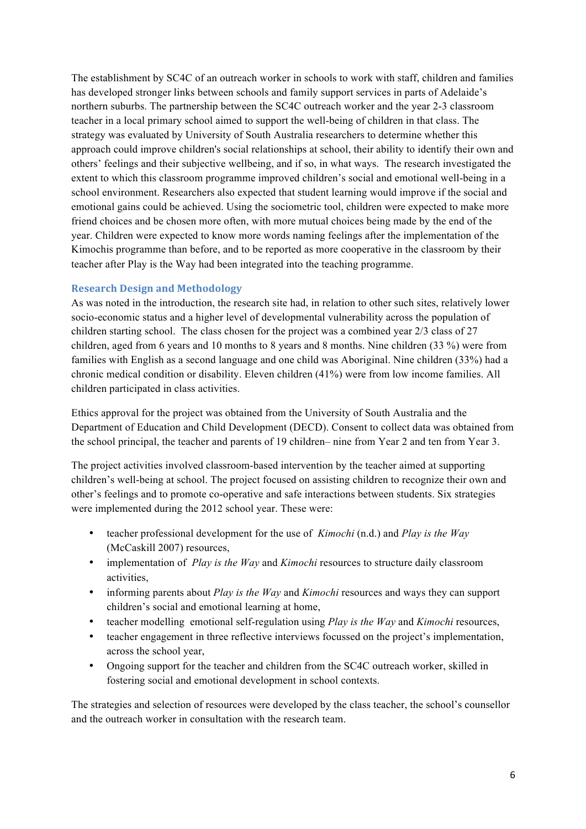The establishment by SC4C of an outreach worker in schools to work with staff, children and families has developed stronger links between schools and family support services in parts of Adelaide's northern suburbs. The partnership between the SC4C outreach worker and the year 2-3 classroom teacher in a local primary school aimed to support the well-being of children in that class. The strategy was evaluated by University of South Australia researchers to determine whether this approach could improve children's social relationships at school, their ability to identify their own and others' feelings and their subjective wellbeing, and if so, in what ways. The research investigated the extent to which this classroom programme improved children's social and emotional well-being in a school environment. Researchers also expected that student learning would improve if the social and emotional gains could be achieved. Using the sociometric tool, children were expected to make more friend choices and be chosen more often, with more mutual choices being made by the end of the year. Children were expected to know more words naming feelings after the implementation of the Kimochis programme than before, and to be reported as more cooperative in the classroom by their teacher after Play is the Way had been integrated into the teaching programme.

## **Research Design and Methodology**

As was noted in the introduction, the research site had, in relation to other such sites, relatively lower socio-economic status and a higher level of developmental vulnerability across the population of children starting school. The class chosen for the project was a combined year 2/3 class of 27 children, aged from 6 years and 10 months to 8 years and 8 months. Nine children (33 %) were from families with English as a second language and one child was Aboriginal. Nine children (33%) had a chronic medical condition or disability. Eleven children (41%) were from low income families. All children participated in class activities.

Ethics approval for the project was obtained from the University of South Australia and the Department of Education and Child Development (DECD). Consent to collect data was obtained from the school principal, the teacher and parents of 19 children– nine from Year 2 and ten from Year 3.

The project activities involved classroom-based intervention by the teacher aimed at supporting children's well-being at school. The project focused on assisting children to recognize their own and other's feelings and to promote co-operative and safe interactions between students. Six strategies were implemented during the 2012 school year. These were:

- teacher professional development for the use of *Kimochi* (n.d.) and *Play is the Way* (McCaskill 2007) resources,
- implementation of *Play is the Way* and *Kimochi* resources to structure daily classroom activities,
- informing parents about *Play is the Way* and *Kimochi* resources and ways they can support children's social and emotional learning at home,
- teacher modelling emotional self-regulation using *Play is the Way* and *Kimochi* resources,
- teacher engagement in three reflective interviews focussed on the project's implementation, across the school year,
- Ongoing support for the teacher and children from the SC4C outreach worker, skilled in fostering social and emotional development in school contexts.

The strategies and selection of resources were developed by the class teacher, the school's counsellor and the outreach worker in consultation with the research team.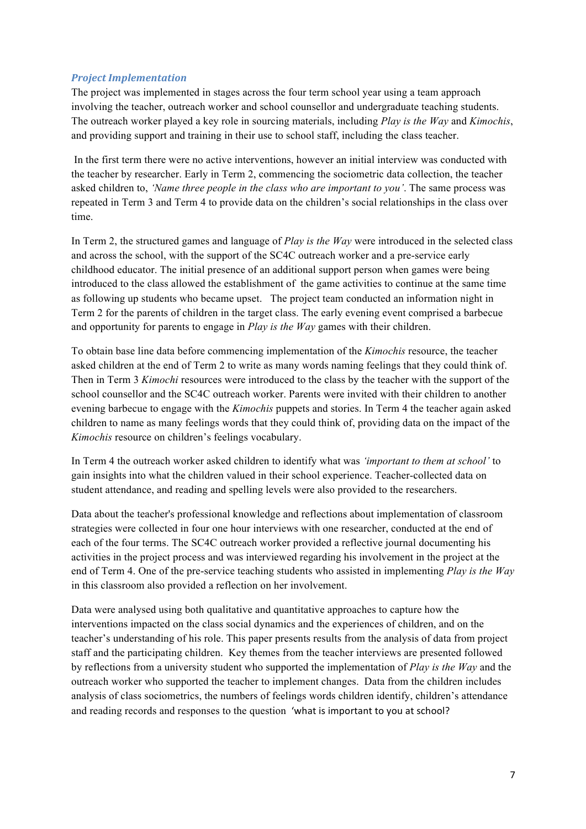# *Project Implementation*

The project was implemented in stages across the four term school year using a team approach involving the teacher, outreach worker and school counsellor and undergraduate teaching students. The outreach worker played a key role in sourcing materials, including *Play is the Way* and *Kimochis*, and providing support and training in their use to school staff, including the class teacher.

In the first term there were no active interventions, however an initial interview was conducted with the teacher by researcher. Early in Term 2, commencing the sociometric data collection, the teacher asked children to, *'Name three people in the class who are important to you'*. The same process was repeated in Term 3 and Term 4 to provide data on the children's social relationships in the class over time.

In Term 2, the structured games and language of *Play is the Way* were introduced in the selected class and across the school, with the support of the SC4C outreach worker and a pre-service early childhood educator. The initial presence of an additional support person when games were being introduced to the class allowed the establishment of the game activities to continue at the same time as following up students who became upset. The project team conducted an information night in Term 2 for the parents of children in the target class. The early evening event comprised a barbecue and opportunity for parents to engage in *Play is the Way* games with their children.

To obtain base line data before commencing implementation of the *Kimochis* resource, the teacher asked children at the end of Term 2 to write as many words naming feelings that they could think of. Then in Term 3 *Kimochi* resources were introduced to the class by the teacher with the support of the school counsellor and the SC4C outreach worker. Parents were invited with their children to another evening barbecue to engage with the *Kimochis* puppets and stories. In Term 4 the teacher again asked children to name as many feelings words that they could think of, providing data on the impact of the *Kimochis* resource on children's feelings vocabulary.

In Term 4 the outreach worker asked children to identify what was *'important to them at school'* to gain insights into what the children valued in their school experience. Teacher-collected data on student attendance, and reading and spelling levels were also provided to the researchers.

Data about the teacher's professional knowledge and reflections about implementation of classroom strategies were collected in four one hour interviews with one researcher, conducted at the end of each of the four terms. The SC4C outreach worker provided a reflective journal documenting his activities in the project process and was interviewed regarding his involvement in the project at the end of Term 4. One of the pre-service teaching students who assisted in implementing *Play is the Way* in this classroom also provided a reflection on her involvement.

Data were analysed using both qualitative and quantitative approaches to capture how the interventions impacted on the class social dynamics and the experiences of children, and on the teacher's understanding of his role. This paper presents results from the analysis of data from project staff and the participating children. Key themes from the teacher interviews are presented followed by reflections from a university student who supported the implementation of *Play is the Way* and the outreach worker who supported the teacher to implement changes. Data from the children includes analysis of class sociometrics, the numbers of feelings words children identify, children's attendance and reading records and responses to the question 'what is important to you at school?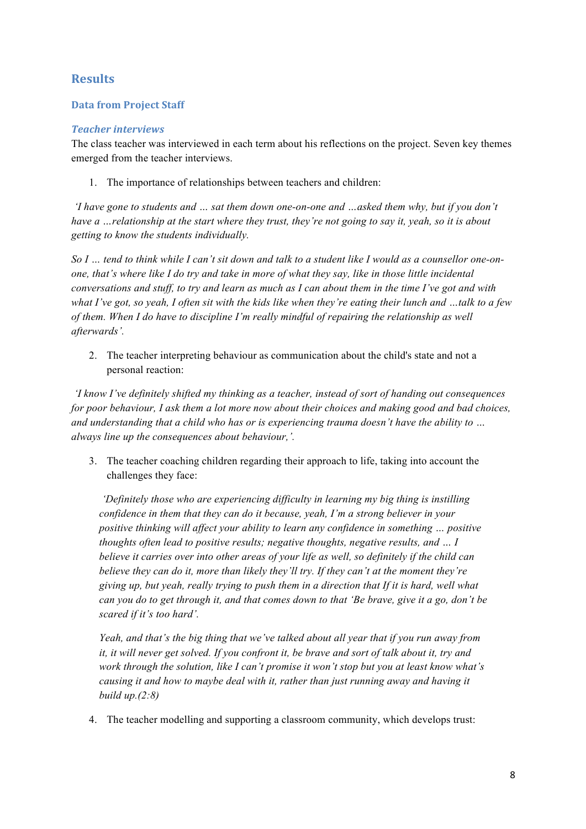# **Results**

# **Data from Project Staff**

# *Teacher interviews*

The class teacher was interviewed in each term about his reflections on the project. Seven key themes emerged from the teacher interviews.

1. The importance of relationships between teachers and children:

*'I have gone to students and … sat them down one-on-one and …asked them why, but if you don't have a …relationship at the start where they trust, they're not going to say it, yeah, so it is about getting to know the students individually.* 

*So I … tend to think while I can't sit down and talk to a student like I would as a counsellor one-onone, that's where like I do try and take in more of what they say, like in those little incidental conversations and stuff, to try and learn as much as I can about them in the time I've got and with what I've got, so yeah, I often sit with the kids like when they're eating their lunch and …talk to a few of them. When I do have to discipline I'm really mindful of repairing the relationship as well afterwards'.*

2. The teacher interpreting behaviour as communication about the child's state and not a personal reaction:

*'I know I've definitely shifted my thinking as a teacher, instead of sort of handing out consequences for poor behaviour, I ask them a lot more now about their choices and making good and bad choices, and understanding that a child who has or is experiencing trauma doesn't have the ability to … always line up the consequences about behaviour,'.*

3. The teacher coaching children regarding their approach to life, taking into account the challenges they face:

*'Definitely those who are experiencing difficulty in learning my big thing is instilling confidence in them that they can do it because, yeah, I'm a strong believer in your positive thinking will affect your ability to learn any confidence in something … positive thoughts often lead to positive results; negative thoughts, negative results, and … I believe it carries over into other areas of your life as well, so definitely if the child can believe they can do it, more than likely they'll try. If they can't at the moment they're giving up, but yeah, really trying to push them in a direction that If it is hard, well what can you do to get through it, and that comes down to that 'Be brave, give it a go, don't be scared if it's too hard'.*

*Yeah, and that's the big thing that we've talked about all year that if you run away from it, it will never get solved. If you confront it, be brave and sort of talk about it, try and work through the solution, like I can't promise it won't stop but you at least know what's causing it and how to maybe deal with it, rather than just running away and having it build up.(2:8)*

4. The teacher modelling and supporting a classroom community, which develops trust: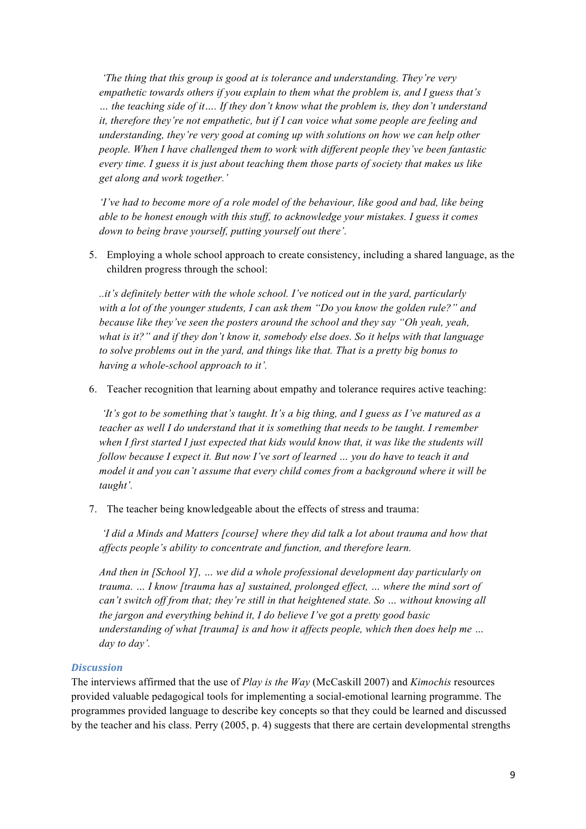*'The thing that this group is good at is tolerance and understanding. They're very empathetic towards others if you explain to them what the problem is, and I guess that's … the teaching side of it…. If they don't know what the problem is, they don't understand it, therefore they're not empathetic, but if I can voice what some people are feeling and understanding, they're very good at coming up with solutions on how we can help other people. When I have challenged them to work with different people they've been fantastic every time. I guess it is just about teaching them those parts of society that makes us like get along and work together.'* 

*'I've had to become more of a role model of the behaviour, like good and bad, like being able to be honest enough with this stuff, to acknowledge your mistakes. I guess it comes down to being brave yourself, putting yourself out there'.*

5. Employing a whole school approach to create consistency, including a shared language, as the children progress through the school:

*..it's definitely better with the whole school. I've noticed out in the yard, particularly with a lot of the younger students, I can ask them "Do you know the golden rule?" and because like they've seen the posters around the school and they say "Oh yeah, yeah, what is it?" and if they don't know it, somebody else does. So it helps with that language to solve problems out in the yard, and things like that. That is a pretty big bonus to having a whole-school approach to it'.*

6. Teacher recognition that learning about empathy and tolerance requires active teaching:

*'It's got to be something that's taught. It's a big thing, and I guess as I've matured as a teacher as well I do understand that it is something that needs to be taught. I remember when I first started I just expected that kids would know that, it was like the students will follow because I expect it. But now I've sort of learned … you do have to teach it and model it and you can't assume that every child comes from a background where it will be taught'.*

7. The teacher being knowledgeable about the effects of stress and trauma:

*'I did a Minds and Matters [course] where they did talk a lot about trauma and how that affects people's ability to concentrate and function, and therefore learn.*

*And then in [School Y], … we did a whole professional development day particularly on trauma. … I know [trauma has a] sustained, prolonged effect, … where the mind sort of can't switch off from that; they're still in that heightened state. So … without knowing all the jargon and everything behind it, I do believe I've got a pretty good basic understanding of what [trauma] is and how it affects people, which then does help me … day to day'.*

#### *Discussion*

The interviews affirmed that the use of *Play is the Way* (McCaskill 2007) and *Kimochis* resources provided valuable pedagogical tools for implementing a social-emotional learning programme. The programmes provided language to describe key concepts so that they could be learned and discussed by the teacher and his class. Perry (2005, p. 4) suggests that there are certain developmental strengths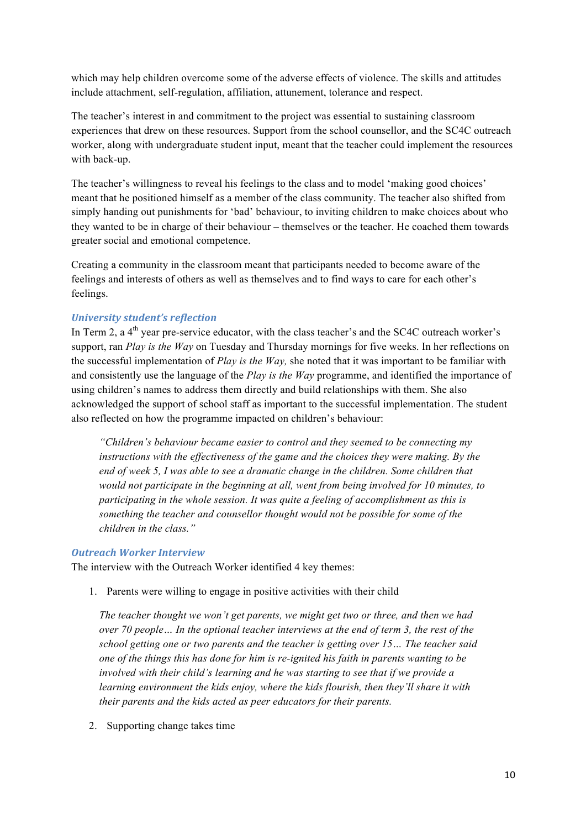which may help children overcome some of the adverse effects of violence. The skills and attitudes include attachment, self-regulation, affiliation, attunement, tolerance and respect.

The teacher's interest in and commitment to the project was essential to sustaining classroom experiences that drew on these resources. Support from the school counsellor, and the SC4C outreach worker, along with undergraduate student input, meant that the teacher could implement the resources with back-up.

The teacher's willingness to reveal his feelings to the class and to model 'making good choices' meant that he positioned himself as a member of the class community. The teacher also shifted from simply handing out punishments for 'bad' behaviour, to inviting children to make choices about who they wanted to be in charge of their behaviour – themselves or the teacher. He coached them towards greater social and emotional competence.

Creating a community in the classroom meant that participants needed to become aware of the feelings and interests of others as well as themselves and to find ways to care for each other's feelings.

## *University student's reflection*

In Term 2, a  $4<sup>th</sup>$  year pre-service educator, with the class teacher's and the SC4C outreach worker's support, ran *Play is the Way* on Tuesday and Thursday mornings for five weeks. In her reflections on the successful implementation of *Play is the Way,* she noted that it was important to be familiar with and consistently use the language of the *Play is the Way* programme, and identified the importance of using children's names to address them directly and build relationships with them. She also acknowledged the support of school staff as important to the successful implementation. The student also reflected on how the programme impacted on children's behaviour:

*"Children's behaviour became easier to control and they seemed to be connecting my instructions with the effectiveness of the game and the choices they were making. By the end of week 5, I was able to see a dramatic change in the children. Some children that would not participate in the beginning at all, went from being involved for 10 minutes, to participating in the whole session. It was quite a feeling of accomplishment as this is something the teacher and counsellor thought would not be possible for some of the children in the class."*

#### *Outreach Worker Interview*

The interview with the Outreach Worker identified 4 key themes:

1. Parents were willing to engage in positive activities with their child

*The teacher thought we won't get parents, we might get two or three, and then we had over 70 people… In the optional teacher interviews at the end of term 3, the rest of the school getting one or two parents and the teacher is getting over 15… The teacher said one of the things this has done for him is re-ignited his faith in parents wanting to be involved with their child's learning and he was starting to see that if we provide a learning environment the kids enjoy, where the kids flourish, then they'll share it with their parents and the kids acted as peer educators for their parents.*

2. Supporting change takes time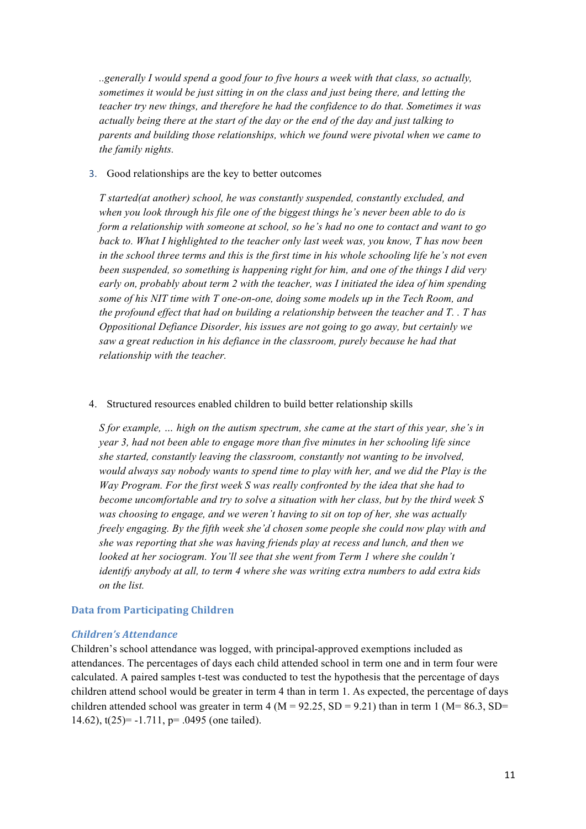*..generally I would spend a good four to five hours a week with that class, so actually, sometimes it would be just sitting in on the class and just being there, and letting the teacher try new things, and therefore he had the confidence to do that. Sometimes it was actually being there at the start of the day or the end of the day and just talking to parents and building those relationships, which we found were pivotal when we came to the family nights.* 

#### 3. Good relationships are the key to better outcomes

*T started(at another) school, he was constantly suspended, constantly excluded, and when you look through his file one of the biggest things he's never been able to do is form a relationship with someone at school, so he's had no one to contact and want to go back to. What I highlighted to the teacher only last week was, you know, T has now been in the school three terms and this is the first time in his whole schooling life he's not even been suspended, so something is happening right for him, and one of the things I did very early on, probably about term 2 with the teacher, was I initiated the idea of him spending some of his NIT time with T one-on-one, doing some models up in the Tech Room, and the profound effect that had on building a relationship between the teacher and T. . T has Oppositional Defiance Disorder, his issues are not going to go away, but certainly we saw a great reduction in his defiance in the classroom, purely because he had that relationship with the teacher.*

#### 4. Structured resources enabled children to build better relationship skills

*S for example, … high on the autism spectrum, she came at the start of this year, she's in year 3, had not been able to engage more than five minutes in her schooling life since she started, constantly leaving the classroom, constantly not wanting to be involved, would always say nobody wants to spend time to play with her, and we did the Play is the Way Program. For the first week S was really confronted by the idea that she had to become uncomfortable and try to solve a situation with her class, but by the third week S was choosing to engage, and we weren't having to sit on top of her, she was actually freely engaging. By the fifth week she'd chosen some people she could now play with and she was reporting that she was having friends play at recess and lunch, and then we looked at her sociogram. You'll see that she went from Term 1 where she couldn't identify anybody at all, to term 4 where she was writing extra numbers to add extra kids on the list.*

#### **Data from Participating Children**

#### *Children's Attendance*

Children's school attendance was logged, with principal-approved exemptions included as attendances. The percentages of days each child attended school in term one and in term four were calculated. A paired samples t-test was conducted to test the hypothesis that the percentage of days children attend school would be greater in term 4 than in term 1. As expected, the percentage of days children attended school was greater in term 4 ( $M = 92.25$ ,  $SD = 9.21$ ) than in term 1 ( $M = 86.3$ ,  $SD =$ 14.62), t(25)= -1.711, p= .0495 (one tailed).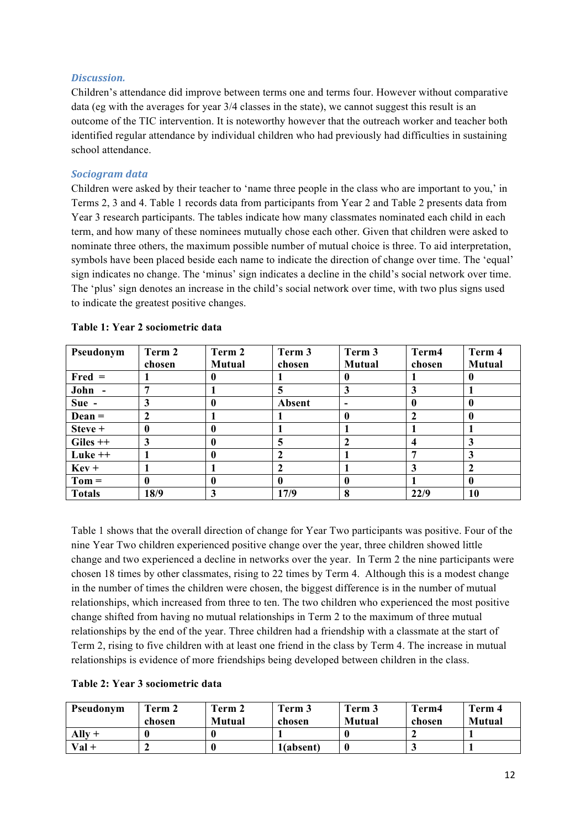## *Discussion.*

Children's attendance did improve between terms one and terms four. However without comparative data (eg with the averages for year 3/4 classes in the state), we cannot suggest this result is an outcome of the TIC intervention. It is noteworthy however that the outreach worker and teacher both identified regular attendance by individual children who had previously had difficulties in sustaining school attendance.

## *Sociogram data*

Children were asked by their teacher to 'name three people in the class who are important to you,' in Terms 2, 3 and 4. Table 1 records data from participants from Year 2 and Table 2 presents data from Year 3 research participants. The tables indicate how many classmates nominated each child in each term, and how many of these nominees mutually chose each other. Given that children were asked to nominate three others, the maximum possible number of mutual choice is three. To aid interpretation, symbols have been placed beside each name to indicate the direction of change over time. The 'equal' sign indicates no change. The 'minus' sign indicates a decline in the child's social network over time. The 'plus' sign denotes an increase in the child's social network over time, with two plus signs used to indicate the greatest positive changes.

| Pseudonym     | Term 2 | Term 2        | Term 3 | Term 3        | Term4  | Term 4        |
|---------------|--------|---------------|--------|---------------|--------|---------------|
|               | chosen | <b>Mutual</b> | chosen | <b>Mutual</b> | chosen | <b>Mutual</b> |
| $Fred =$      |        |               |        | o             |        | $\mathbf{0}$  |
| John -        |        |               |        | 3             |        |               |
| Sue -         |        |               | Absent |               |        | 0             |
| $Dean =$      |        |               |        | $\bf{0}$      |        | 0             |
| Steve +       |        |               |        |               |        |               |
| $Giles++$     | 3      |               |        |               |        | 3             |
| Luke $++$     |        |               |        |               |        | 3             |
| $Kev +$       |        |               |        |               |        | $\mathbf{2}$  |
| $Tom =$       |        |               |        | $\mathbf{0}$  |        | $\mathbf{0}$  |
| <b>Totals</b> | 18/9   | 3             | 17/9   | 8             | 22/9   | 10            |

## **Table 1: Year 2 sociometric data**

Table 1 shows that the overall direction of change for Year Two participants was positive. Four of the nine Year Two children experienced positive change over the year, three children showed little change and two experienced a decline in networks over the year. In Term 2 the nine participants were chosen 18 times by other classmates, rising to 22 times by Term 4. Although this is a modest change in the number of times the children were chosen, the biggest difference is in the number of mutual relationships, which increased from three to ten. The two children who experienced the most positive change shifted from having no mutual relationships in Term 2 to the maximum of three mutual relationships by the end of the year. Three children had a friendship with a classmate at the start of Term 2, rising to five children with at least one friend in the class by Term 4. The increase in mutual relationships is evidence of more friendships being developed between children in the class.

#### **Table 2: Year 3 sociometric data**

| Pseudonym         | Term 2 | Term 2        | Term 3    | Term 3        | Term4  | Term 4        |
|-------------------|--------|---------------|-----------|---------------|--------|---------------|
|                   | chosen | <b>Mutual</b> | chosen    | <b>Mutual</b> | chosen | <b>Mutual</b> |
| $\mathbf{Ally}$ + |        |               |           |               |        |               |
| $Val +$           |        |               | 1(absent) |               |        |               |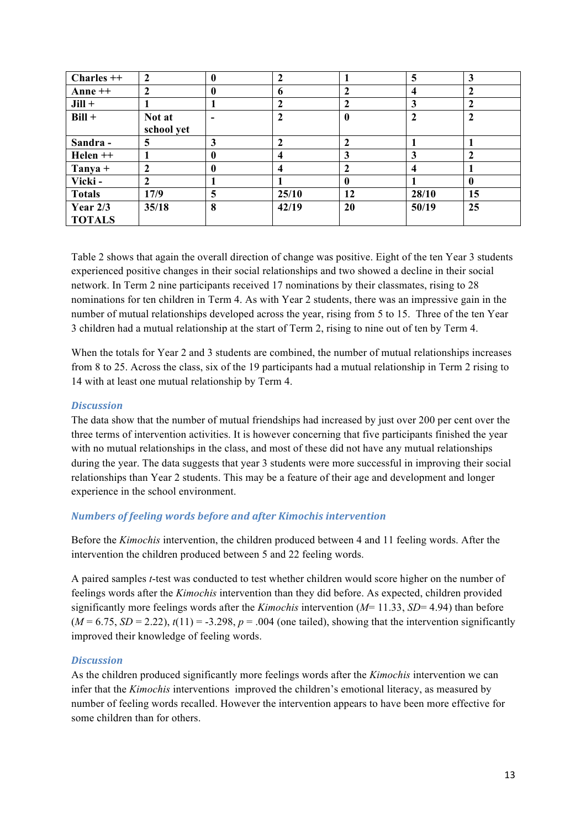| $Charles ++$                | $\mathbf{2}$         | 0        | 2     |                  | 5     | 3              |
|-----------------------------|----------------------|----------|-------|------------------|-------|----------------|
| Anne $++$                   | $\mathbf{2}$         | $\bf{0}$ | 6     | 2                |       | $\mathbf{2}$   |
| $Jill +$                    |                      |          |       | 2                |       | $\overline{2}$ |
| $Bill +$                    | Not at<br>school yet |          |       | 0                |       | $\mathcal{P}$  |
| Sandra-                     | 5                    | 3        |       |                  |       |                |
| Helen ++                    |                      | 0        | 4     | 3                |       |                |
| $T$ anya +                  | $\mathbf{2}$         | 0        | 4     |                  |       |                |
| Vicki-                      | $\mathbf{2}$         |          |       | $\boldsymbol{0}$ |       | $\mathbf{0}$   |
| <b>Totals</b>               | 17/9                 | 5        | 25/10 | 12               | 28/10 | 15             |
| Year $2/3$<br><b>TOTALS</b> | 35/18                | 8        | 42/19 | 20               | 50/19 | 25             |

Table 2 shows that again the overall direction of change was positive. Eight of the ten Year 3 students experienced positive changes in their social relationships and two showed a decline in their social network. In Term 2 nine participants received 17 nominations by their classmates, rising to 28 nominations for ten children in Term 4. As with Year 2 students, there was an impressive gain in the number of mutual relationships developed across the year, rising from 5 to 15. Three of the ten Year 3 children had a mutual relationship at the start of Term 2, rising to nine out of ten by Term 4.

When the totals for Year 2 and 3 students are combined, the number of mutual relationships increases from 8 to 25. Across the class, six of the 19 participants had a mutual relationship in Term 2 rising to 14 with at least one mutual relationship by Term 4.

#### *Discussion*

The data show that the number of mutual friendships had increased by just over 200 per cent over the three terms of intervention activities. It is however concerning that five participants finished the year with no mutual relationships in the class, and most of these did not have any mutual relationships during the year. The data suggests that year 3 students were more successful in improving their social relationships than Year 2 students. This may be a feature of their age and development and longer experience in the school environment.

# *Numbers of feeling words before and after Kimochis intervention*

Before the *Kimochis* intervention, the children produced between 4 and 11 feeling words. After the intervention the children produced between 5 and 22 feeling words.

A paired samples *t*-test was conducted to test whether children would score higher on the number of feelings words after the *Kimochis* intervention than they did before. As expected, children provided significantly more feelings words after the *Kimochis* intervention (*M*= 11.33, *SD*= 4.94) than before  $(M = 6.75, SD = 2.22)$ ,  $t(11) = -3.298$ ,  $p = .004$  (one tailed), showing that the intervention significantly improved their knowledge of feeling words.

# *Discussion*

As the children produced significantly more feelings words after the *Kimochis* intervention we can infer that the *Kimochis* interventions improved the children's emotional literacy, as measured by number of feeling words recalled. However the intervention appears to have been more effective for some children than for others.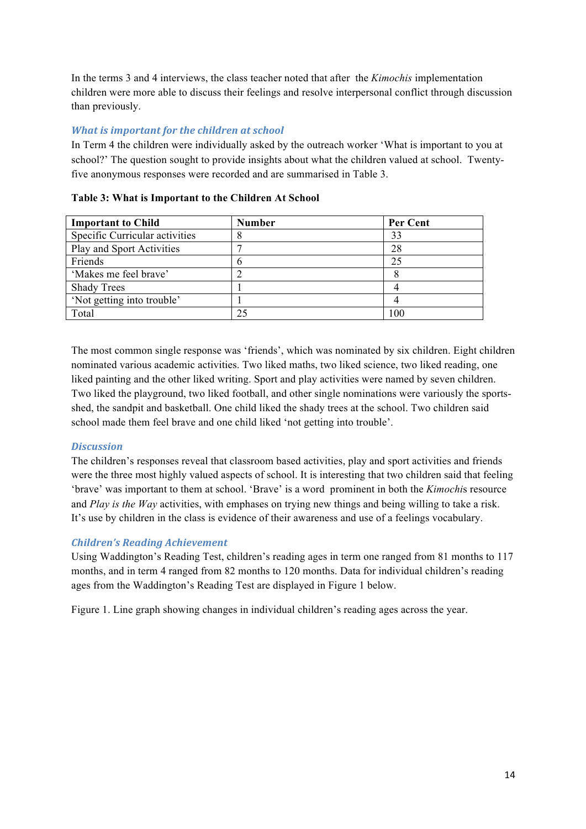In the terms 3 and 4 interviews, the class teacher noted that after the *Kimochis* implementation children were more able to discuss their feelings and resolve interpersonal conflict through discussion than previously.

# *What is important for the children at school*

In Term 4 the children were individually asked by the outreach worker 'What is important to you at school?' The question sought to provide insights about what the children valued at school. Twentyfive anonymous responses were recorded and are summarised in Table 3.

| <b>Important to Child</b>      | <b>Number</b> | Per Cent |
|--------------------------------|---------------|----------|
| Specific Curricular activities |               | 33       |
| Play and Sport Activities      |               | 28       |
| Friends                        |               | 25       |
| 'Makes me feel brave'          |               |          |
| <b>Shady Trees</b>             |               |          |
| 'Not getting into trouble'     |               |          |
| Total                          |               | 100      |

### **Table 3: What is Important to the Children At School**

The most common single response was 'friends', which was nominated by six children. Eight children nominated various academic activities. Two liked maths, two liked science, two liked reading, one liked painting and the other liked writing. Sport and play activities were named by seven children. Two liked the playground, two liked football, and other single nominations were variously the sportsshed, the sandpit and basketball. One child liked the shady trees at the school. Two children said school made them feel brave and one child liked 'not getting into trouble'.

# *Discussion*

The children's responses reveal that classroom based activities, play and sport activities and friends were the three most highly valued aspects of school. It is interesting that two children said that feeling 'brave' was important to them at school. 'Brave' is a word prominent in both the *Kimochi*s resource and *Play is the Way* activities, with emphases on trying new things and being willing to take a risk. It's use by children in the class is evidence of their awareness and use of a feelings vocabulary.

# *Children's Reading Achievement*

Using Waddington's Reading Test, children's reading ages in term one ranged from 81 months to 117 months, and in term 4 ranged from 82 months to 120 months. Data for individual children's reading ages from the Waddington's Reading Test are displayed in Figure 1 below.

Figure 1. Line graph showing changes in individual children's reading ages across the year.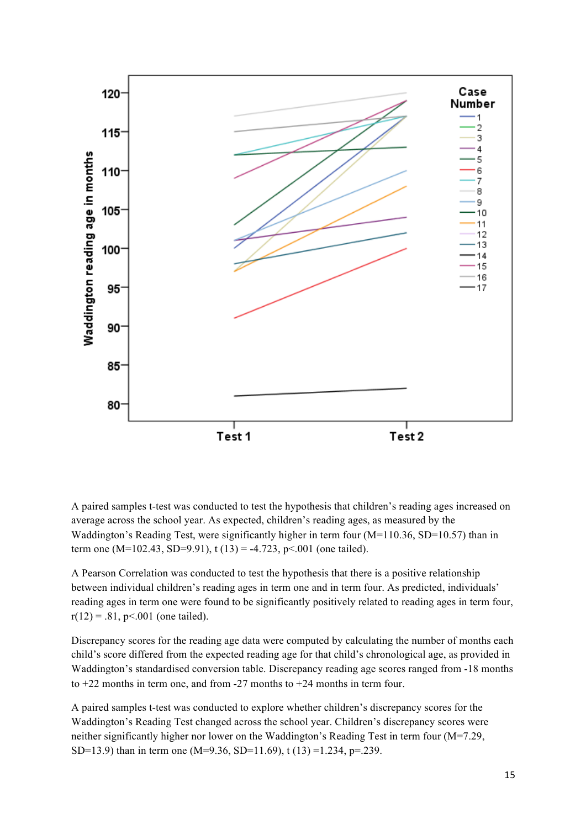

A paired samples t-test was conducted to test the hypothesis that children's reading ages increased on average across the school year. As expected, children's reading ages, as measured by the Waddington's Reading Test, were significantly higher in term four (M=110.36, SD=10.57) than in term one (M=102.43, SD=9.91),  $t(13) = -4.723$ ,  $p < .001$  (one tailed).

A Pearson Correlation was conducted to test the hypothesis that there is a positive relationship between individual children's reading ages in term one and in term four. As predicted, individuals' reading ages in term one were found to be significantly positively related to reading ages in term four,  $r(12) = .81$ , p<.001 (one tailed).

Discrepancy scores for the reading age data were computed by calculating the number of months each child's score differed from the expected reading age for that child's chronological age, as provided in Waddington's standardised conversion table. Discrepancy reading age scores ranged from -18 months to +22 months in term one, and from -27 months to +24 months in term four.

A paired samples t-test was conducted to explore whether children's discrepancy scores for the Waddington's Reading Test changed across the school year. Children's discrepancy scores were neither significantly higher nor lower on the Waddington's Reading Test in term four (M=7.29, SD=13.9) than in term one (M=9.36, SD=11.69), t (13) =1.234, p=.239.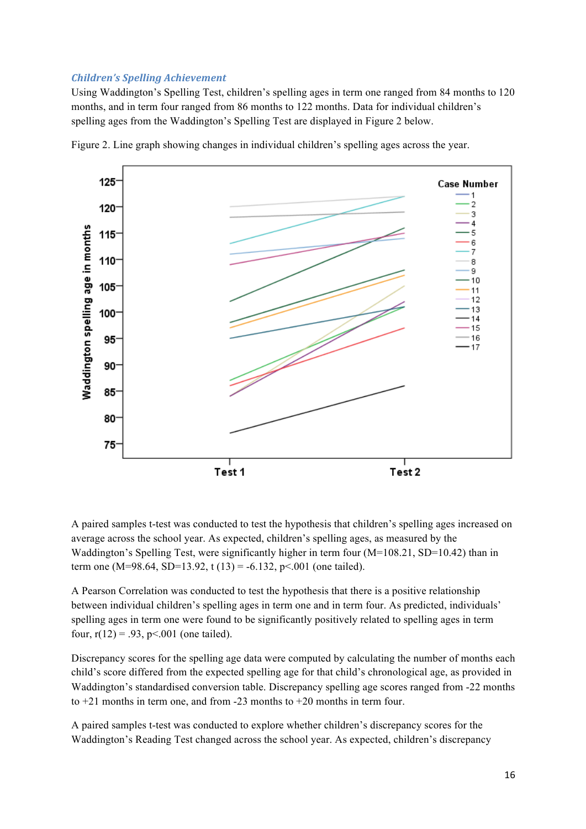#### *Children's Spelling Achievement*

Using Waddington's Spelling Test, children's spelling ages in term one ranged from 84 months to 120 months, and in term four ranged from 86 months to 122 months. Data for individual children's spelling ages from the Waddington's Spelling Test are displayed in Figure 2 below.



Figure 2. Line graph showing changes in individual children's spelling ages across the year.

A paired samples t-test was conducted to test the hypothesis that children's spelling ages increased on average across the school year. As expected, children's spelling ages, as measured by the Waddington's Spelling Test, were significantly higher in term four (M=108.21, SD=10.42) than in term one (M=98.64, SD=13.92, t (13) = -6.132, p < 0.01 (one tailed).

A Pearson Correlation was conducted to test the hypothesis that there is a positive relationship between individual children's spelling ages in term one and in term four. As predicted, individuals' spelling ages in term one were found to be significantly positively related to spelling ages in term four,  $r(12) = .93$ ,  $p < .001$  (one tailed).

Discrepancy scores for the spelling age data were computed by calculating the number of months each child's score differed from the expected spelling age for that child's chronological age, as provided in Waddington's standardised conversion table. Discrepancy spelling age scores ranged from -22 months to +21 months in term one, and from -23 months to +20 months in term four.

A paired samples t-test was conducted to explore whether children's discrepancy scores for the Waddington's Reading Test changed across the school year. As expected, children's discrepancy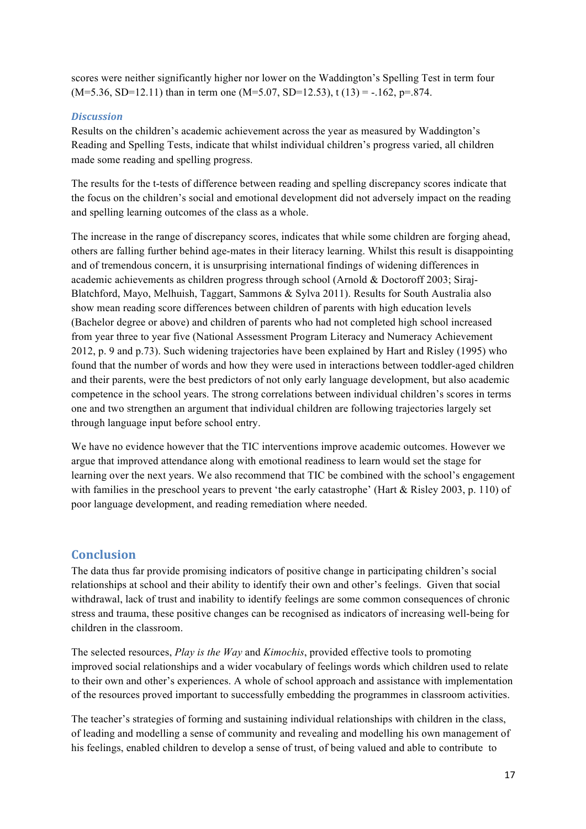scores were neither significantly higher nor lower on the Waddington's Spelling Test in term four  $(M=5.36, SD=12.11)$  than in term one  $(M=5.07, SD=12.53)$ , t  $(13) = -.162$ ,  $p=.874$ .

# *Discussion*

Results on the children's academic achievement across the year as measured by Waddington's Reading and Spelling Tests, indicate that whilst individual children's progress varied, all children made some reading and spelling progress.

The results for the t-tests of difference between reading and spelling discrepancy scores indicate that the focus on the children's social and emotional development did not adversely impact on the reading and spelling learning outcomes of the class as a whole.

The increase in the range of discrepancy scores, indicates that while some children are forging ahead, others are falling further behind age-mates in their literacy learning. Whilst this result is disappointing and of tremendous concern, it is unsurprising international findings of widening differences in academic achievements as children progress through school (Arnold & Doctoroff 2003; Siraj-Blatchford, Mayo, Melhuish, Taggart, Sammons & Sylva 2011). Results for South Australia also show mean reading score differences between children of parents with high education levels (Bachelor degree or above) and children of parents who had not completed high school increased from year three to year five (National Assessment Program Literacy and Numeracy Achievement 2012, p. 9 and p.73). Such widening trajectories have been explained by Hart and Risley (1995) who found that the number of words and how they were used in interactions between toddler-aged children and their parents, were the best predictors of not only early language development, but also academic competence in the school years. The strong correlations between individual children's scores in terms one and two strengthen an argument that individual children are following trajectories largely set through language input before school entry.

We have no evidence however that the TIC interventions improve academic outcomes. However we argue that improved attendance along with emotional readiness to learn would set the stage for learning over the next years. We also recommend that TIC be combined with the school's engagement with families in the preschool years to prevent 'the early catastrophe' (Hart & Risley 2003, p. 110) of poor language development, and reading remediation where needed.

# **Conclusion**

The data thus far provide promising indicators of positive change in participating children's social relationships at school and their ability to identify their own and other's feelings. Given that social withdrawal, lack of trust and inability to identify feelings are some common consequences of chronic stress and trauma, these positive changes can be recognised as indicators of increasing well-being for children in the classroom.

The selected resources, *Play is the Way* and *Kimochis*, provided effective tools to promoting improved social relationships and a wider vocabulary of feelings words which children used to relate to their own and other's experiences. A whole of school approach and assistance with implementation of the resources proved important to successfully embedding the programmes in classroom activities.

The teacher's strategies of forming and sustaining individual relationships with children in the class, of leading and modelling a sense of community and revealing and modelling his own management of his feelings, enabled children to develop a sense of trust, of being valued and able to contribute to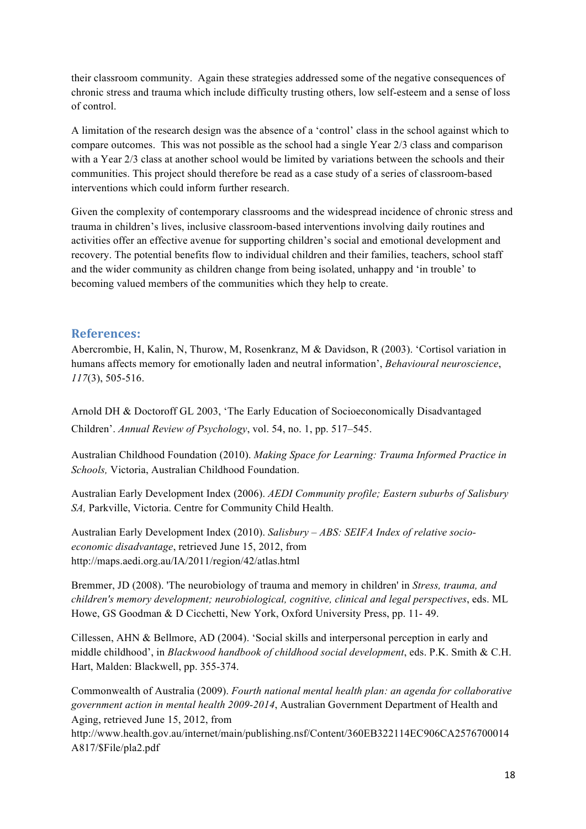their classroom community. Again these strategies addressed some of the negative consequences of chronic stress and trauma which include difficulty trusting others, low self-esteem and a sense of loss of control.

A limitation of the research design was the absence of a 'control' class in the school against which to compare outcomes. This was not possible as the school had a single Year 2/3 class and comparison with a Year 2/3 class at another school would be limited by variations between the schools and their communities. This project should therefore be read as a case study of a series of classroom-based interventions which could inform further research.

Given the complexity of contemporary classrooms and the widespread incidence of chronic stress and trauma in children's lives, inclusive classroom-based interventions involving daily routines and activities offer an effective avenue for supporting children's social and emotional development and recovery. The potential benefits flow to individual children and their families, teachers, school staff and the wider community as children change from being isolated, unhappy and 'in trouble' to becoming valued members of the communities which they help to create.

# **References:**

Abercrombie, H, Kalin, N, Thurow, M, Rosenkranz, M & Davidson, R (2003). 'Cortisol variation in humans affects memory for emotionally laden and neutral information', *Behavioural neuroscience*, *117*(3), 505-516.

Arnold DH & Doctoroff GL 2003, 'The Early Education of Socioeconomically Disadvantaged Children'. *Annual Review of Psychology*, vol. 54, no. 1, pp. 517–545.

Australian Childhood Foundation (2010). *Making Space for Learning: Trauma Informed Practice in Schools,* Victoria, Australian Childhood Foundation.

Australian Early Development Index (2006). *AEDI Community profile; Eastern suburbs of Salisbury SA,* Parkville, Victoria. Centre for Community Child Health.

Australian Early Development Index (2010). *Salisbury – ABS: SEIFA Index of relative socioeconomic disadvantage*, retrieved June 15, 2012, from http://maps.aedi.org.au/IA/2011/region/42/atlas.html

Bremmer, JD (2008). 'The neurobiology of trauma and memory in children' in *Stress, trauma, and children's memory development; neurobiological, cognitive, clinical and legal perspectives*, eds. ML Howe, GS Goodman & D Cicchetti, New York, Oxford University Press, pp. 11- 49.

Cillessen, AHN & Bellmore, AD (2004). 'Social skills and interpersonal perception in early and middle childhood', in *Blackwood handbook of childhood social development*, eds. P.K. Smith & C.H. Hart, Malden: Blackwell, pp. 355-374.

Commonwealth of Australia (2009). *Fourth national mental health plan: an agenda for collaborative government action in mental health 2009-2014*, Australian Government Department of Health and Aging, retrieved June 15, 2012, from

http://www.health.gov.au/internet/main/publishing.nsf/Content/360EB322114EC906CA2576700014 A817/\$File/pla2.pdf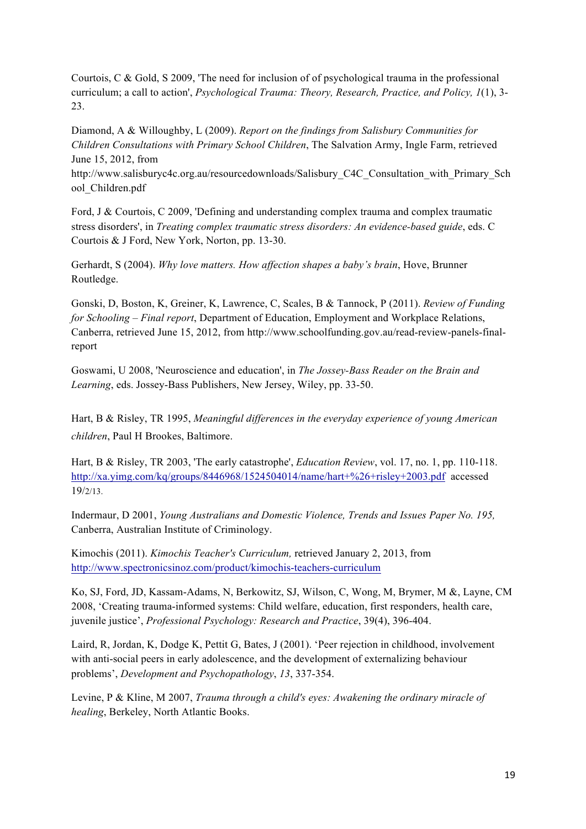Courtois, C & Gold, S 2009, 'The need for inclusion of of psychological trauma in the professional curriculum; a call to action', *Psychological Trauma: Theory, Research, Practice, and Policy, 1*(1), 3- 23.

Diamond, A & Willoughby, L (2009). *Report on the findings from Salisbury Communities for Children Consultations with Primary School Children*, The Salvation Army, Ingle Farm, retrieved June 15, 2012, from

http://www.salisburyc4c.org.au/resourcedownloads/Salisbury\_C4C\_Consultation\_with\_Primary\_Sch ool\_Children.pdf

Ford, J & Courtois, C 2009, 'Defining and understanding complex trauma and complex traumatic stress disorders', in *Treating complex traumatic stress disorders: An evidence-based guide*, eds. C Courtois & J Ford, New York, Norton, pp. 13-30.

Gerhardt, S (2004). *Why love matters. How affection shapes a baby's brain*, Hove, Brunner Routledge.

Gonski, D, Boston, K, Greiner, K, Lawrence, C, Scales, B & Tannock, P (2011). *Review of Funding for Schooling – Final report*, Department of Education, Employment and Workplace Relations, Canberra, retrieved June 15, 2012, from http://www.schoolfunding.gov.au/read-review-panels-finalreport

Goswami, U 2008, 'Neuroscience and education', in *The Jossey-Bass Reader on the Brain and Learning*, eds. Jossey-Bass Publishers, New Jersey, Wiley, pp. 33-50.

Hart, B & Risley, TR 1995, *Meaningful differences in the everyday experience of young American children*, Paul H Brookes, Baltimore.

Hart, B & Risley, TR 2003, 'The early catastrophe', *Education Review*, vol. 17, no. 1, pp. 110-118. http://xa.yimg.com/kq/groups/8446968/1524504014/name/hart+%26+risley+2003.pdf accessed 19/2/13.

Indermaur, D 2001, *Young Australians and Domestic Violence, Trends and Issues Paper No. 195,* Canberra, Australian Institute of Criminology.

Kimochis (2011). *Kimochis Teacher's Curriculum,* retrieved January 2, 2013, from http://www.spectronicsinoz.com/product/kimochis-teachers-curriculum

Ko, SJ, Ford, JD, Kassam-Adams, N, Berkowitz, SJ, Wilson, C, Wong, M, Brymer, M &, Layne, CM 2008, 'Creating trauma-informed systems: Child welfare, education, first responders, health care, juvenile justice', *Professional Psychology: Research and Practice*, 39(4), 396-404.

Laird, R, Jordan, K, Dodge K, Pettit G, Bates, J (2001). 'Peer rejection in childhood, involvement with anti-social peers in early adolescence, and the development of externalizing behaviour problems', *Development and Psychopathology*, *13*, 337-354.

Levine, P & Kline, M 2007, *Trauma through a child's eyes: Awakening the ordinary miracle of healing*, Berkeley, North Atlantic Books.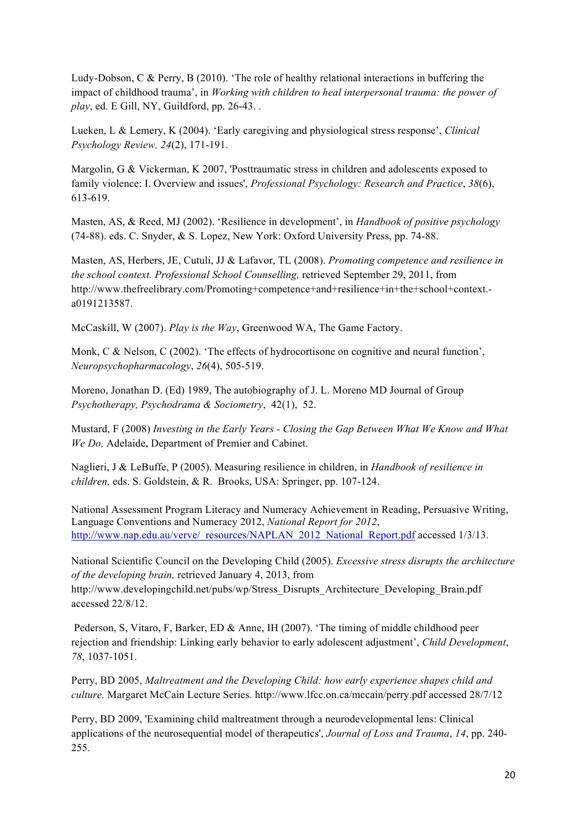Ludy-Dobson, C & Perry, B (2010). 'The role of healthy relational interactions in buffering the impact of childhood trauma', in *Working with children to heal interpersonal trauma: the power of play*, ed. E Gill, NY, Guildford, pp. 26-43. .

Lueken, L & Lemery, K (2004). 'Early caregiving and physiological stress response', *Clinical Psychology Review, 24*(2), 171-191.

Margolin, G & Vickerman, K 2007, 'Posttraumatic stress in children and adolescents exposed to family violence: I. Overview and issues', *Professional Psychology: Research and Practice*, *38*(6), 613-619.

Masten, AS, & Reed, MJ (2002). 'Resilience in development', in *Handbook of positive psychology* (74-88). eds. C. Snyder, & S. Lopez, New York: Oxford University Press, pp. 74-88.

Masten, AS, Herbers, JE, Cutuli, JJ & Lafavor, TL (2008). *Promoting competence and resilience in the school context. Professional School Counselling,* retrieved September 29, 2011, from http://www.thefreelibrary.com/Promoting+competence+and+resilience+in+the+school+context. a0191213587.

McCaskill, W (2007). *Play is the Way*, Greenwood WA, The Game Factory.

Monk, C & Nelson, C (2002). 'The effects of hydrocortisone on cognitive and neural function', *Neuropsychopharmacology*, *26*(4), 505-519.

Moreno, Jonathan D. (Ed) 1989, The autobiography of J. L. Moreno MD Journal of Group *Psychotherapy, Psychodrama & Sociometry*, 42(1), 52.

Mustard, F (2008) *Investing in the Early Years - Closing the Gap Between What We Know and What We Do,* Adelaide, Department of Premier and Cabinet.

Naglieri, J & LeBuffe, P (2005). Measuring resilience in children, in *Handbook of resilience in children,* eds. S. Goldstein, & R. Brooks, USA: Springer, pp. 107-124.

National Assessment Program Literacy and Numeracy Achievement in Reading, Persuasive Writing, Language Conventions and Numeracy 2012, *National Report for 2012*, http://www.nap.edu.au/verve/\_resources/NAPLAN\_2012\_National\_Report.pdf accessed 1/3/13.

National Scientific Council on the Developing Child (2005). *Excessive stress disrupts the architecture of the developing brain,* retrieved January 4, 2013, from http://www.developingchild.net/pubs/wp/Stress\_Disrupts\_Architecture\_Developing\_Brain.pdf accessed 22/8/12.

Pederson, S, Vitaro, F, Barker, ED & Anne, IH (2007). 'The timing of middle childhood peer rejection and friendship: Linking early behavior to early adolescent adjustment', *Child Development*, *78*, 1037-1051.

Perry, BD 2005, *Maltreatment and the Developing Child: how early experience shapes child and culture.* Margaret McCain Lecture Series*.* http://www.lfcc.on.ca/mccain/perry.pdf accessed 28/7/12

Perry, BD 2009, 'Examining child maltreatment through a neurodevelopmental lens: Clinical applications of the neurosequential model of therapeutics', *Journal of Loss and Trauma*, *14*, pp. 240- 255.